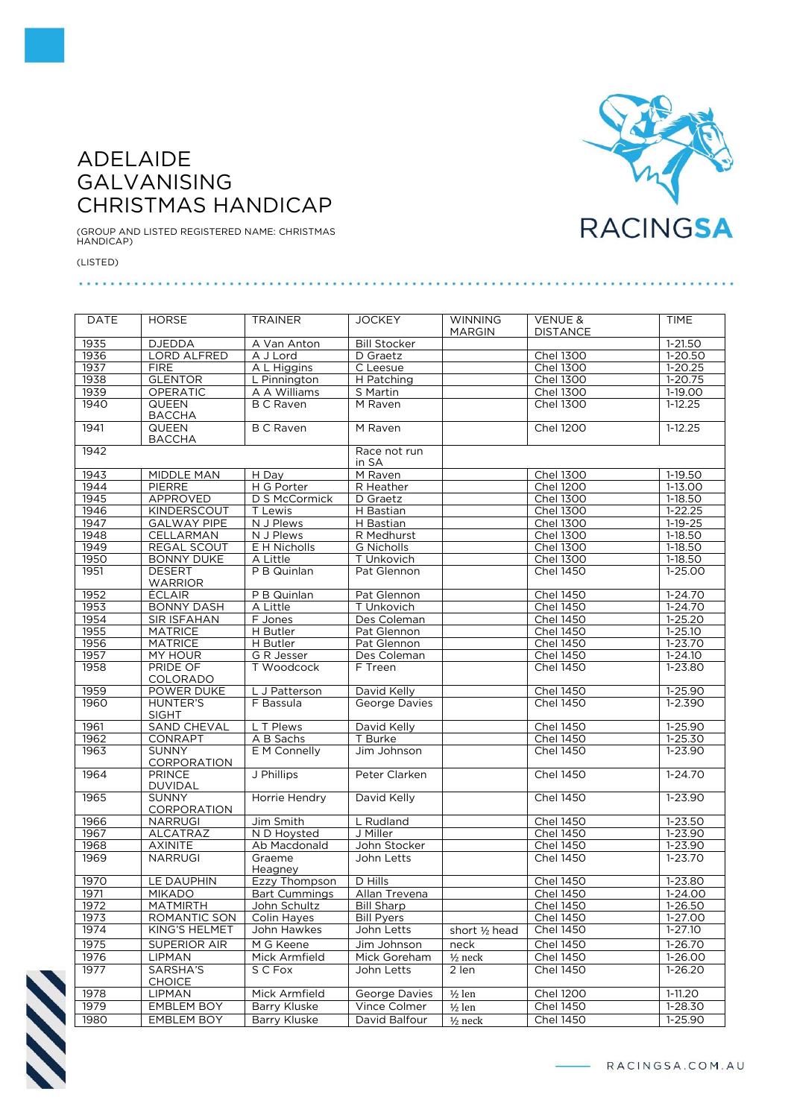

## ADELAIDE GALVANISING CHRISTMAS HANDICAP

(GROUP AND LISTED REGISTERED NAME: CHRISTMAS HANDICAP)

(LISTED)

| <b>DATE</b> | <b>HORSE</b>                    | <b>TRAINER</b>    | <b>JOCKEY</b>         | <b>WINNING</b><br><b>MARGIN</b> | <b>VENUE &amp;</b><br><b>DISTANCE</b> | <b>TIME</b> |  |
|-------------|---------------------------------|-------------------|-----------------------|---------------------------------|---------------------------------------|-------------|--|
| 1935        | <b>DJEDDA</b>                   | A Van Anton       | <b>Bill Stocker</b>   |                                 |                                       | $1 - 21.50$ |  |
| 1936        | <b>LORD ALFRED</b>              | A J Lord          | D Graetz              |                                 | Chel 1300                             | 1-20.50     |  |
| 1937        | <b>FIRE</b>                     | A L Higgins       | C Leesue              |                                 | Chel 1300                             | $1-20.25$   |  |
| 1938        | <b>GLENTOR</b>                  | L Pinnington      | H Patching            |                                 | Chel 1300                             | $1-20.75$   |  |
| 1939        | <b>OPERATIC</b>                 | A A Williams      | S Martin              |                                 | Chel 1300                             | 1-19.00     |  |
| 1940        | <b>QUEEN</b><br><b>BACCHA</b>   | <b>B C Raven</b>  | M Raven               |                                 | Chel 1300                             | $1-12.25$   |  |
| 1941        | <b>QUEEN</b><br><b>BACCHA</b>   | <b>B C Raven</b>  | M Raven               |                                 | <b>Chel 1200</b>                      | $1-12.25$   |  |
| 1942        |                                 |                   | Race not run<br>in SA |                                 |                                       |             |  |
| 1943        | MIDDLE MAN                      | H Day             | M Raven               |                                 | Chel 1300                             | 1-19.50     |  |
| 1944        | PIERRE                          | H G Porter        | R Heather             |                                 | <b>Chel 1200</b>                      | 1-13.00     |  |
| 1945        | APPROVED                        | D S McCormick     | D Graetz              |                                 | Chel 1300                             | 1-18.50     |  |
| 1946        | KINDERSCOUT                     | T Lewis           | H Bastian             |                                 | <b>Chel 1300</b>                      | $1 - 22.25$ |  |
| 1947        | <b>GALWAY PIPE</b>              | N J Plews         | H Bastian             |                                 | Chel 1300                             | $1-19-25$   |  |
| 1948        | CELLARMAN                       | N J Plews         | R Medhurst            |                                 | Chel 1300                             | 1-18.50     |  |
| 1949        | REGAL SCOUT                     | E H Nicholls      | <b>G Nicholls</b>     |                                 | <b>Chel 1300</b>                      | 1-18.50     |  |
| 1950        | <b>BONNY DUKE</b>               | A Little          | T Unkovich            |                                 | <b>Chel 1300</b>                      | $1-18.50$   |  |
| 1951        | <b>DESERT</b><br><b>WARRIOR</b> | P B Quinlan       | Pat Glennon           |                                 | <b>Chel 1450</b>                      | $1 - 25.00$ |  |
| 1952        | ÉCLAIR                          | P B Quinlan       | Pat Glennon           |                                 | <b>Chel 1450</b>                      | $1-24.70$   |  |
| 1953        | <b>BONNY DASH</b>               | A Little          | T Unkovich            |                                 | <b>Chel 1450</b>                      | $1-24.70$   |  |
| 1954        | SIR ISFAHAN                     | F Jones           | Des Coleman           |                                 | <b>Chel 1450</b>                      | $1 - 25.20$ |  |
| 1955        | <b>MATRICE</b>                  | H Butler          | Pat Glennon           |                                 | <b>Chel 1450</b>                      | $1 - 25.10$ |  |
| 1956        | <b>MATRICE</b>                  | H Butler          | Pat Glennon           |                                 | <b>Chel 1450</b>                      | 1-23.70     |  |
| 1957        | <b>MY HOUR</b>                  | G R Jesser        | Des Coleman           |                                 | <b>Chel 1450</b>                      | $1 - 24.10$ |  |
| 1958        | PRIDE OF<br>COLORADO            | T Woodcock        | F Treen               |                                 | <b>Chel 1450</b>                      | 1-23.80     |  |
| 1959        | POWER DUKE                      | L J Patterson     | David Kelly           |                                 | <b>Chel 1450</b>                      | 1-25.90     |  |
| 1960        | <b>HUNTER'S</b><br><b>SIGHT</b> | F Bassula         | George Davies         |                                 | <b>Chel 1450</b>                      | $1 - 2.390$ |  |
| 1961        | <b>SAND CHEVAL</b>              | L T Plews         | David Kelly           |                                 | <b>Chel 1450</b>                      | $1 - 25.90$ |  |
| 1962        | <b>CONRAPT</b>                  | A B Sachs         | T Burke               |                                 | <b>Chel 1450</b>                      | 1-25.30     |  |
| 1963        | <b>SUNNY</b><br>CORPORATION     | E M Connelly      | Jim Johnson           |                                 | <b>Chel 1450</b>                      | $1 - 23.90$ |  |
| 1964        | <b>PRINCE</b><br><b>DUVIDAL</b> | J Phillips        | Peter Clarken         |                                 | <b>Chel 1450</b>                      | $1-24.70$   |  |
| 1965        | <b>SUNNY</b><br>CORPORATION     | Horrie Hendry     | David Kelly           |                                 | <b>Chel 1450</b>                      | $1 - 23.90$ |  |
| 1966        | <b>NARRUGI</b>                  | Jim Smith         | L Rudland             |                                 | <b>Chel 1450</b>                      | $1 - 23.50$ |  |
| 1967        | <b>ALCATRAZ</b>                 | N D Hoysted       | J Miller              |                                 | <b>Chel 1450</b>                      | $1 - 23.90$ |  |
| 1968        | <b>AXINITE</b>                  | Ab Macdonald      | John Stocker          |                                 | <b>Chel 1450</b>                      | 1-23.90     |  |
| 1969        | <b>NARRUGI</b>                  | Graeme<br>Heagney | John Letts            |                                 | <b>Chel 1450</b>                      | $1 - 23.70$ |  |
| 1970        | LE DAUPHIN                      | Ezzy Thompson     | D Hills               |                                 | <b>Chel 1450</b>                      | 1-23.80     |  |
| 1971        | <b>MIKADO</b>                   | Bart Cummings     | Allan Trevena         |                                 | Chel 1450                             | $1-24.00$   |  |
| 1972        | <b>MATMIRTH</b>                 | John Schultz      | <b>Bill Sharp</b>     |                                 | <b>Chel 1450</b>                      | $1-26.50$   |  |
| 1973        | ROMANTIC SON                    | Colin Hayes       | <b>Bill Pyers</b>     |                                 | <b>Chel 1450</b>                      | 1-27.00     |  |
| 1974        | KING'S HELMET                   | John Hawkes       | John Letts            | short 1/2 head                  | <b>Chel 1450</b>                      | $1 - 27.10$ |  |
| 1975        | <b>SUPERIOR AIR</b>             | M G Keene         | Jim Johnson           | neck                            | <b>Chel 1450</b>                      | $1-26.70$   |  |
| 1976        | <b>LIPMAN</b>                   | Mick Armfield     | Mick Goreham          | $1/2$ neck                      | <b>Chel 1450</b>                      | $1-26.00$   |  |
| 1977        | SARSHA'S<br><b>CHOICE</b>       | S C Fox           | John Letts            | 2 len                           | <b>Chel 1450</b>                      | $1-26.20$   |  |
| 1978        | <b>LIPMAN</b>                   | Mick Armfield     | George Davies         | $\frac{1}{2}$ len               | <b>Chel 1200</b>                      | $1 - 11.20$ |  |
| 1979        | EMBLEM BOY                      | Barry Kluske      | Vince Colmer          | $\frac{1}{2}$ len               | <b>Chel 1450</b>                      | 1-28.30     |  |
| 1980        | EMBLEM BOY                      | Barry Kluske      | David Balfour         | $1/2$ neck                      | <b>Chel 1450</b>                      | 1-25.90     |  |
|             |                                 |                   |                       |                                 |                                       |             |  |